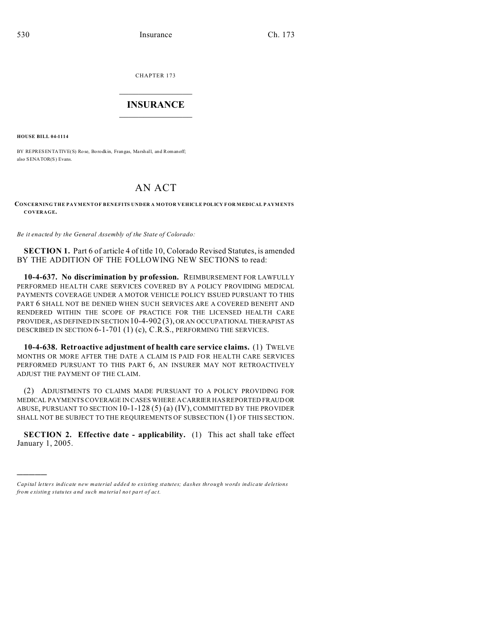CHAPTER 173  $\overline{\phantom{a}}$  , where  $\overline{\phantom{a}}$ 

## **INSURANCE**  $\_$   $\_$   $\_$   $\_$   $\_$   $\_$   $\_$   $\_$

**HOUSE BILL 04-1114**

)))))

BY REPRESENTATIVE(S) Rose, Borodkin, Frangas, Ma rshall, and Romanoff; also SENATOR(S) Evans.

## AN ACT

## **CONCERNING THE PAYMENT OF BENEFITS UNDER A MOTOR VEHICLE POLICY F OR MEDICAL P AYM ENTS COVERAGE.**

*Be it enacted by the General Assembly of the State of Colorado:*

**SECTION 1.** Part 6 of article 4 of title 10, Colorado Revised Statutes, is amended BY THE ADDITION OF THE FOLLOWING NEW SECTIONS to read:

**10-4-637. No discrimination by profession.** REIMBURSEMENT FOR LAWFULLY PERFORMED HEALTH CARE SERVICES COVERED BY A POLICY PROVIDING MEDICAL PAYMENTS COVERAGE UNDER A MOTOR VEHICLE POLICY ISSUED PURSUANT TO THIS PART 6 SHALL NOT BE DENIED WHEN SUCH SERVICES ARE A COVERED BENEFIT AND RENDERED WITHIN THE SCOPE OF PRACTICE FOR THE LICENSED HEALTH CARE PROVIDER, AS DEFINED IN SECTION 10-4-902 (3), OR AN OCCUPATIONAL THERAPIST AS DESCRIBED IN SECTION 6-1-701 (1) (c), C.R.S., PERFORMING THE SERVICES.

**10-4-638. Retroactive adjustment of health care service claims.** (1) TWELVE MONTHS OR MORE AFTER THE DATE A CLAIM IS PAID FOR HEALTH CARE SERVICES PERFORMED PURSUANT TO THIS PART 6, AN INSURER MAY NOT RETROACTIVELY ADJUST THE PAYMENT OF THE CLAIM.

(2) ADJUSTMENTS TO CLAIMS MADE PURSUANT TO A POLICY PROVIDING FOR MEDICAL PAYMENTS COVERAGE IN CASES WHERE A CARRIER HAS REPORTED FRAUD OR ABUSE, PURSUANT TO SECTION 10-1-128 (5) (a) (IV), COMMITTED BY THE PROVIDER SHALL NOT BE SUBJECT TO THE REQUIREMENTS OF SUBSECTION (1) OF THIS SECTION.

**SECTION 2. Effective date - applicability.** (1) This act shall take effect January 1, 2005.

*Capital letters indicate new material added to existing statutes; dashes through words indicate deletions from e xistin g statu tes a nd such ma teria l no t pa rt of ac t.*